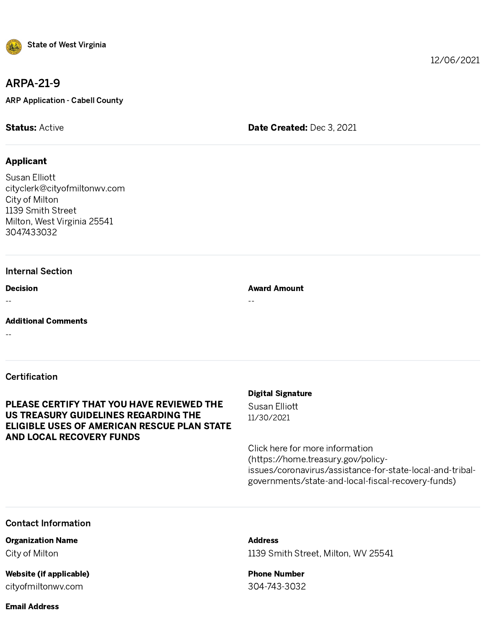

### ARPA-21-9

ARP Application - Cabell County

**Status:** Active **Date Created: Dec 3, 2021** 

#### Applicant

State of West Virg<br>
ARPA-21-9<br>
ARP Application - Cabel<br>
Status: Active<br>
Applicant<br>
Susan Elliott<br>
cityclerk@cityofmiltor<br>
City of Milton<br>
1139 Smith Street<br>
Milton, West Virginia 2<br>
3047433032<br>
Internal Section<br>
Decision<br> Susan Elliott cityclerk@cityofmiltonwv.com City of Milton 1139 Smith Street Milton, West Virginia 25541 3047433032

#### Internal Section

Decision

--

Additional Comments

--

#### Certification

#### PLEASE CERTIFY THAT YOU HAVE REVIEWED THE US TREASURY GUIDELINES REGARDING THE ELIGIBLE USES OF AMERICAN RESCUE PLAN STATE AND LOCAL RECOVERY FUNDS

#### Digital Signature

Award Amount

--

Susan Elliott 11/30/2021

Click here for more information (https://home.treasury.gov/policyissues/coronavirus/assistance-for-state-local-and-tribal-12/06/2021<br> **Digital Signature**<br> **Click here for more information**<br>
Click here for more information<br>
(https://home.treasury.gov/policy-<br>
(https://home.treasury.gov/policy-<br>
issues/coronavirus/assistance-for-state-local-and

#### Contact Information

Organization Name City of Milton

## Website (if applicable)

cityofmiltonwv.com

Address 1139 Smith Street, Milton, WV 25541

Phone Number 304-743-3032

#### Email Address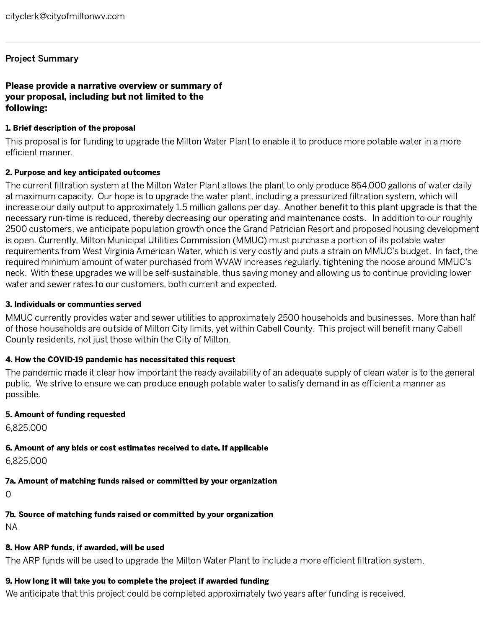#### Project Summary

# Please provide a narrative overview or summary of your proposal, including but not limited to the following: Project Summar<br>Project Summar<br>Please provide a<br>your proposal, in<br>following:<br>1. Brief description<br>This proposal is fiefficient manner.

#### 1. Brief description of the proposal

This proposal is for funding to upgrade the Milton Water Plant to enable it to produce more potable water in a more cityclerk@cityofmiltonwy.com<br>**Project Summary**<br>**Please provide a narrative overview or summary of<br><b>The current proposal, including but not limited to the**<br>**The proposal si** for funding to upgrade the Milton Water Plant to cityclerk@cityofmiltonwv.com<br>**Project Summary**<br>**Please provide a narrative overview or summary of<br><b>your proposal, including but not limited to the**<br>**1.** Brief description of the proposal<br>This proposal is for funding to upg

#### 2. Purpose and key anticipated outcomes

increase our daily output to approximately 1.5 million gallons per day. Another benefit to this plant upgrade is that the necessary run-time is reduced, thereby decreasing our operating and maintenance costs. In addition to our roughly 2500 customers, we anticipate population growth once the Grand Patrician Resort and proposed housing development is open. Currently, Milton Municipal Utilities Commission (MMUC) must purchase a portion of its potable water requirements from West Virginia American Water, which is very costly and puts a strain on MMUC' s budget. In fact, the required minimum amount of water purchased from WVAW increases regularly, tightening the noose around MMUC's neck. With these upgrades we will be self-sustainable, thus saving money and allowing us to continue providing lower water and sewer rates to our customers, both current and expected. of the set are those households are those households are those households are those households are considered of the proposed in the proposal is for funding to upgrade the Milton Water Plant to enable it to produce more po eltyderk@eltyofmittenww.com<br> **Phoses provide a narrative overview or summary of<br>
your proposal, including but not limited to the<br>
following:<br>
I. Brief description of the proposal<br>
This proposal is for funcing to upgrade th** Probability that will be used to upgrade the Milton Water Frant to upgrade the Milton Water Theoretical and the used to upgrade the Milton Water Frant to upgrade the Milton Water Plant to only probability of the SMI of the

#### 3. Individuals or communties served

MMUC currently provides water and sewer utilities to approximately 2500 households and businesses. More than half County residents, not just those within the City of Milton.

#### 4. How the COVID-19 pandemic has necessitated this request

The pandemic made it clear how important the ready availability of an adequate supply of clean water is to the general possible.

#### 5. Amount of funding requested

6,825,000

#### 6. Amount of any bids or cost estimates received to date, if applicable

6,825,000

#### 7a. Amount of matching funds raised or committed by your organization

0

7b. Source of matching funds raised or committed by your organization

NA

#### 8. How ARP funds, if awarded, will be used

#### 9. How long it will take you to complete the project if awarded funding

We anticipate that this project could be completed approximately two years after funding is received.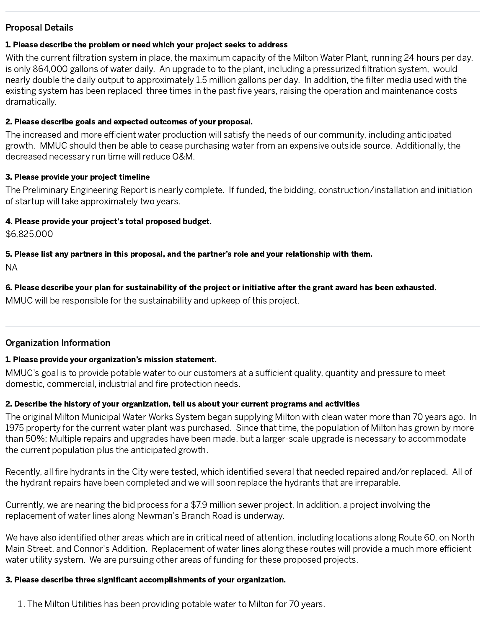#### Proposal Details

#### 1. Please describe the problem or need which your project seeks to address

With the current filtration system in place, the maximum capacity of the Milton Water Plant, running 24 hours per day,<br>is only 864.000 gallons of water daily, An upgrade to to the plant, including a pressurized illtration is only 864,000 gallons of water daily. An upgrade to to the plant, including a pressurized filtration system, would<br>nearly double the daily output to approximately 1.5 million gallons per day. In addition, the filter medi nearly double the daily output to approximately 1.5 million gallons per day. In addition, the filter media used with the existing system has been replaced three times in the past five years, raising the operation and maint dramatically. existing system has been replaced three times in the past five years, raising the operation and maintenance costs<br>dramatically.<br>**2. Please describe goals and expected outcomes of your proposal.**<br>The increased and more effi **Proposal Details**<br> **1. Please describe the problem or need which your project seeks to address**<br>
With the current filtration system in place, the maximum capacity of the Milion Water Plant, nunning 24 hours per day,<br>
whic **Proposal Details**<br>**2. Passe describe the problem or need which your project seeks to address**<br>With the current litration system in place, the maximum capacity of the Milton Water Plant, numing 24 hours per day,<br>which the **Proposal Details<br>
A Piese describe the problem or mead which your project seeks to address**<br>
With the carrent firstnon-oxistem in place, the maximum canonical or the Michai in the City Water Plant, running 24 hours are th **Proposal Details<br>
A Please describe the problem or meet which your project secks to address<br>
With the current first in on poster in plicine, the maximum capacity of the Michimal Spin Metal need of account of<br>
a consider a** Proposal Details<br>
It Please describe the problem or need which your project sedes to address willion Website Perising Connor (1974)<br>
2018 the Connor firsticon system in place, the morehold from the calculate the sedes rout Proposal Details<br>**1. Please describe the problem or need which your project seeks to address**<br>**2.7. In the concellations consider a place of the controlling controlling the conflict of the concellant accomplishments of you** nosal Details<br>
asses describe the problem in need which your project seeks to address<br>
the current filtedroin godenn in place, the maximum capacity of the Milton Signity<br>
Uy 66:1000 gallons of yoshic that A a pagmale to al

#### 2. Please describe goals and expected outcomes of your proposal.

existing system has been replaced three times in the past five years, raising the operation and maintenance costs<br>charactically.<br>**2. Please describe goals and expected outcomes of your proposal.**<br>The increased and more eff growth. MMUC should then be able to cease purchasing water from an expensive outside source. Additionally, the decreased necessary run time will reduce O&M.

#### 3. Please provide your project timeline

The Preliminary Engineering Report is nearly complete. If funded, the bidding, construction/installation and initiation of startup will take approximately two years.

#### 4. Please provide your project's total proposed budget.

\$6,825,000

5. Please list any partners in this proposal, and the partner's role and your relationship with them.

NA

6. Please describe your plan for sustainability of the project or initiative after the grant award has been exhausted.

MMUC will be responsible for the sustainability and upkeep of this project.

#### Organization Information

#### 1. Please provide your organization's mission statement.

#### 2. Describe the history of your organization, tell us about your current programs and activities

The original Milton Municipal Water Works System began supplying Milton with clean water more than 70 years ago. In 1975 property for the current water plant was purchased. Since that time, the population of Milton has grown by more than 50%; Multiple repairs and upgrades have been made, but a larger-scale upgrade is necessary to accommodate the current population plus the anticipated growth.

the hydrant repairs have been completed and we will soon replace the hydrants that are irreparable.

Currently, we are nearing the bid process for a \$7.9 million sewer project. In addition, a project involving the replacement of water lines along Newman ' s Branch Road is underway.

water utility system. We are pursuing other areas of funding for these proposed projects.

#### 3. Please describe three significant accomplishments of your organization.

1. The Milton Utilities has been providing potable water to Milton for 70 years.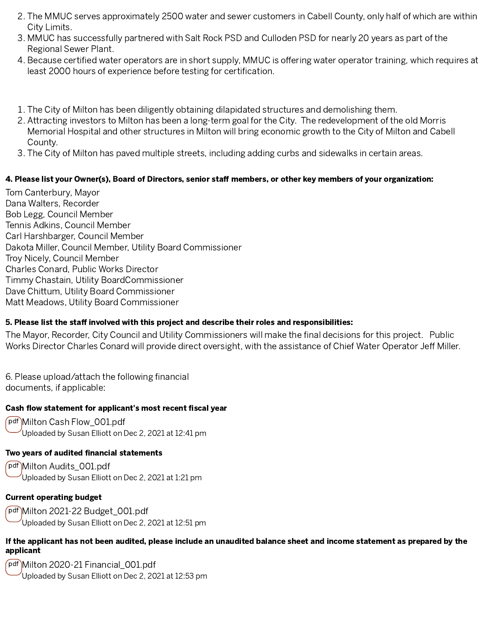- City Limits.
- Regional Sewer Plant.
- 
- 
- 1. The City of Milton has been diligently obtaining dilapidated structures and demolishing them.<br>
2. Attracting investors to Milton has been a long-term goal for the City. The redevelopment of the old Morris<br>
Memorial Hosp 2. Attracting investors to Milton has been a long-term goal for the City. The redevelopment of the old Morris<br>Memorial Hospital and other structures in Milton will bring economic growth to the City of Milton and Cabe<br>Count Memorial Hospital and other structures in Milton will bring economic growth to the City of Milton and Cabell County. 3. The MMUC serves approximately 2500 water and sewer customers in Cabell County, only half of where City Limits.<br>
2. MMUC has successfully partnered with Salt Rock PSD and Culloden PSD for nearly 20 years as part<br>
2. Regi 2. The MMUC serves approximately 2500 water and sewer customers in Cabell County, only half of which are within<br>
City Limits.<br>
3. MMUC has successfully partnered with Salt Rock PSD and Culloden PSD for nearly 20 years as p
	-

. The MMUC serves approamately 2500 water and sewer customers in Cabell County, the MMUC serves approximately the MUC serves approximately the MUC serves approximately the MUC serves approximately the NMUC is clearly as t . MMUC has successfully partnered with Salt Rock PSD and Culloden PSD for nearly 20 years as part of the Recourse centrifics with content of supple, MMUC is affering within englands are entired with current ones are in smo . Because certified water operators are in short supply, MMUC is offering water operator training, which requires at least 2000 hours of experience before testing for cortification.<br>
The City of Million has been dligently least 2000 hours of experience before testing for certification.<br>
The City of Milton has been diligently obtaining dilapidated structures and demolishing them.<br>
Attracting investors to Milton has been a long-term goal for Tom Canterbury, Mayor Dana Walters, Recorder Bob Legg, Council Member Tennis Adkins, Council Member Carl Harshbarger, Council Member Dakota Miller, Council Member, Utility Board Commissioner Troy Nicely, Council Member Charles Conard, Public Works Director Timmy Chastain, Utility BoardCommissioner Dave Chittum, Utility Board Commissioner Matt Meadows, Utility Board Commissioner 2. The MMUC serves approximately 2500 water and sewer customers in Cabell Cournat 3. MMUC has successfully partnered with Salt Rock PSD and Culloden PSD for nearly and Review Plant.<br>
4. Because certified water operators ar 2. The MMUC serves approximately 2500 water and sewer customers in Cabell County, only half of which are within<br>
3. MMUC has successfully partnered with Salt Rock PSD and Culloden PSD for nearly 20 years as part of the<br>
Re 2. The MMUC serves approximately 2500 water and sewer customers in Cabell County, only half of which are within<br>3. MMUC has successfully partnered with Sait Rock PSD and Culloden PSD for nearly 20 years as part of the<br>4 Re 2. The MMUC serves approximately 2500 water and sewer customers in Cabel County, only half of which are within 3. MMUC has successfully partnered with Sat Nock PSD and Culloden PSD to meanly 20 years as part of the Receive 2. The MMUC serves approximately 2500 water and sever customers in Cabell County, only half id which are within 3. MMUC has successfully partnered with Salt Rock PSD and Guidelen PSD for nearly 20 years as part of the heyp 2. The MMUC serves approximately 2500 water and sever customers in Cabell C<br>
3. MMUC has successfully partnered with Salt Rock PSD and Culloden PSD for n<br>
Regional Sever Plant<br>
3. MMUC has successfully partnered with Salt

documents, if applicable:

pdf Milton Cash Flow\_001.pdf Uploaded by Susan Elliott on Dec 2, 2021 at 12:41 pm

pdf Milton Audits\_001.pdf Uploaded by Susan Elliott on Dec 2, 2021 at 1:21 pm

#### Current operating budget

pdf Milton 2021-22 Budget\_001.pdf Uploaded by Susan Elliott on Dec 2, 2021 at 12:51 pm

#### If the applicant has not been audited, please include an unaudited balance sheet and income statement as prepared by the applicant

pdf Milton 2020-21 Financial\_001.pdf Uploaded by Susan Elliott on Dec 2, 2021 at 12:53 pm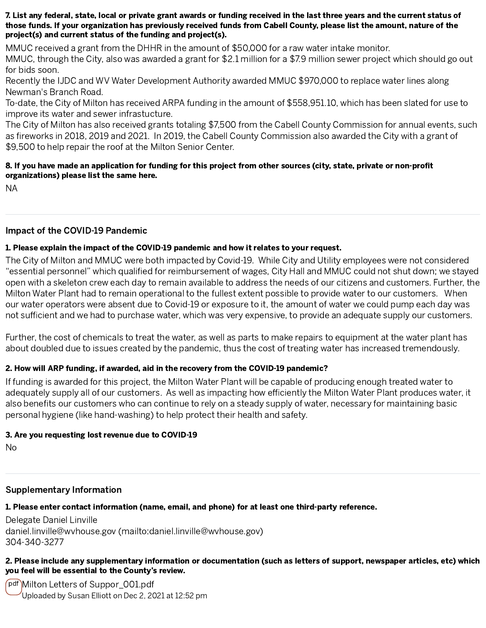#### 7. List any federal, state, local or private grant awards or funding received in the last three years and the current status of those funds. If your organization has previously received funds from Cabell County, please list the amount, nature of the project(s) and current status of the funding and project(s).

MMUC received a grant from the DHHR in the amount of \$50,000 for a raw water intake monitor.

MMUC, through the City, also was awarded a grant for \$2.1 million for a \$7.9 million sewer project which should go out for bids soon.

Recently the IJDC and WV Water Development Authority awarded MMUC \$970,000 to replace water lines along Newman's Branch Road.

To-date, the City of Milton has received ARPA funding in the amount of \$558,951.10, which has been slated for use to improve its water and sewer infrastucture. Newman's Branch Road.<br>To-date, the City of Milton has received ARPA funding in the amount of \$558,951.10, which has been slated for use<br>improve its water and sewer infrastucture.<br>The City of Milton has also received grants

The City of Milton has also received grants totaling \$7,500 from the Cabell County Commission for annual events, such \$9,500 to help repair the roof at the Milton Senior Center. **7. List any federal, state, local or private grant awards or funding received in the last three years and the current status of those funds, If your organization has previously received funds from Cabell County, please li a**, local or private grant awards or funding received in the last three years and the current status of anization has previously received funds from Cabell County, please list the amount, nature of the funding and project

# organizations) please list the same here.

NA

#### Impact of the COVID-19 Pandemic

#### 1. Please explain the impact of the COVID-19 pandemic and how it relates to your request.

The City of Milton and MMUC were both impacted by Covid-19. While City and Utility employees were not considered " essential personnel" open with a skeleton crew each day to remain available to address the needs of our citizens and customers. Further, the Milton Water Plant had to remain operational to the fullest extent possible to provide water to our customers. When our water operators were absent due to Covid-19 or exposure to it, the amount of water we could pump each day was 7. List any federal, state, local or private grant awards or funding received in the last three gears and the current status of<br>those funds, If your organization has previously received funds from Cabell County, please lis 2. List any federal, state, local or priviate grant awards or funding received in the last three paras and the current status of<br>those fundint II your organization has previously received funds from Cabell County, please l **2. List any federal, state, local or private grant awards or funding received in the last three years and the current status of these funds if your organization has previously received funds from Cabell County, please lis** 

Further, the cost of chemicals to treat the water, as well as parts to make repairs to equipment at the water plant has about doubled due to issues created by the pandemic, thus the cost of treating water has increased tremendously.

#### 2. How will ARP funding, if awarded, aid in the recovery from the COVID-19 pandemic?

If funding is awarded for this project, the Milton Water Plant will be capable of producing enough treated water to personal hygiene (like hand-washing) to help protect their health and safety.

#### 3. Are you requesting lost revenue due to COVID-19

No

### Supplementary Information

### 1. Please enter contact information (name, email, and phone) for at least one third-party reference.

Delegate Daniel Linville daniel.linville@wvhouse.gov [\(mailto:daniel.linville@wvhouse.gov\)](mailto:daniel.linville@wvhouse.gov) 304-340-3277

#### 2. Please include any supplementary information or documentation (such as letters of support, newspaper articles, etc) which you feel will be essential to the County's review.

pdf Milton Letters of Suppor\_001.pdf Uploaded by Susan Elliott on Dec 2, 2021 at 12:52 pm